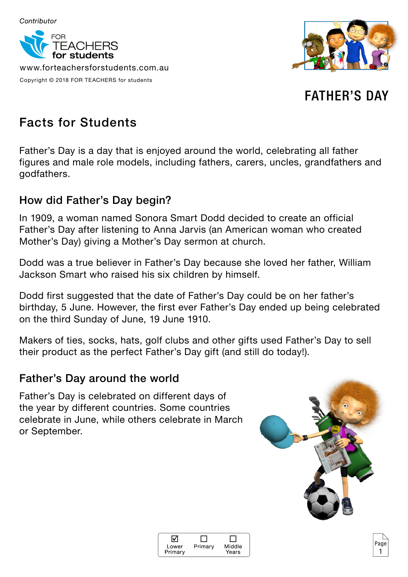

www.forteachersforstudents.com.au Copyright © 2018 FOR TEACHERS for students



FATHER'S DAY

# Facts for Students

Father's Day is a day that is enjoyed around the world, celebrating all father figures and male role models, including fathers, carers, uncles, grandfathers and godfathers.

## How did Father's Day begin?

In 1909, a woman named Sonora Smart Dodd decided to create an official Father's Day after listening to Anna Jarvis (an American woman who created Mother's Day) giving a Mother's Day sermon at church.

Dodd was a true believer in Father's Day because she loved her father, William Jackson Smart who raised his six children by himself.

Dodd first suggested that the date of Father's Day could be on her father's birthday, 5 June. However, the first ever Father's Day ended up being celebrated on the third Sunday of June, 19 June 1910.

Makers of ties, socks, hats, golf clubs and other gifts used Father's Day to sell their product as the perfect Father's Day gift (and still do today!).

## Father's Day around the world

Father's Day is celebrated on different days of the year by different countries. Some countries celebrate in June, while others celebrate in March or September.



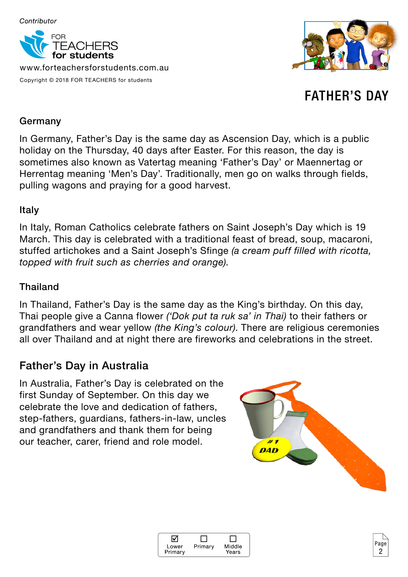

www.forteachersforstudents.com.au Copyright © 2018 FOR TEACHERS for students



FATHER'S DAY

#### Germany

In Germany, Father's Day is the same day as Ascension Day, which is a public holiday on the Thursday, 40 days after Easter. For this reason, the day is sometimes also known as Vatertag meaning 'Father's Day' or Maennertag or Herrentag meaning 'Men's Day'. Traditionally, men go on walks through fields, pulling wagons and praying for a good harvest.

#### Italy

In Italy, Roman Catholics celebrate fathers on Saint Joseph's Day which is 19 March. This day is celebrated with a traditional feast of bread, soup, macaroni, stuffed artichokes and a Saint Joseph's Sfinge *(a cream puff filled with ricotta, topped with fruit such as cherries and orange)*.

### Thailand

In Thailand, Father's Day is the same day as the King's birthday. On this day, Thai people give a Canna flower *('Dok put ta ruk sa' in Thai)* to their fathers or grandfathers and wear yellow *(the King's colour)*. There are religious ceremonies all over Thailand and at night there are fireworks and celebrations in the street.

## Father's Day in Australia

In Australia, Father's Day is celebrated on the first Sunday of September. On this day we celebrate the love and dedication of fathers, step-fathers, guardians, fathers-in-law, uncles and grandfathers and thank them for being our teacher, carer, friend and role model.